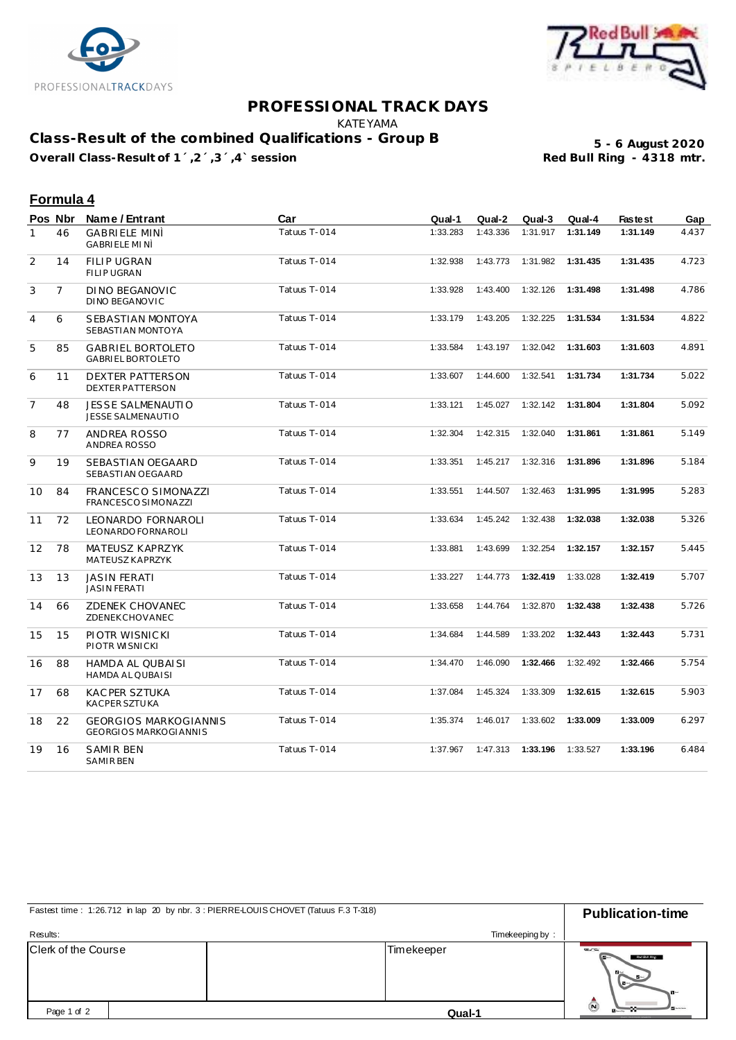



## **PROFESSIONAL TRACK DAYS**

KATEYAMA

**Class-Result of the combined Qualifications - Group B**

Overall Class-Result of 1<sup>'</sup>,2<sup>'</sup>,3<sup>'</sup>,4' session

**5 - 6 August 2020**

## **Formula 4**

|              | Pos Nbr        | Name / Entrant                                               | Car          | Qual-1   | Qual-2   | Qual-3             | Qual-4   | <b>Fastest</b> | Gap   |
|--------------|----------------|--------------------------------------------------------------|--------------|----------|----------|--------------------|----------|----------------|-------|
| $\mathbf{1}$ | 46             | <b>GABRIELE MINÌ</b><br>GABRIELE MINÌ                        | Tatuus T-014 | 1:33.283 | 1:43.336 | 1:31.917           | 1:31.149 | 1:31.149       | 4.437 |
| 2            | 14             | <b>FILIP UGRAN</b><br><b>FILIP UGRAN</b>                     | Tatuus T-014 | 1:32.938 | 1:43.773 | 1:31.982           | 1:31.435 | 1:31.435       | 4.723 |
| 3            | $\overline{7}$ | DINO BEGANOVIC<br>DINO BEGANOVIC                             | Tatuus T-014 | 1:33.928 | 1:43.400 | 1:32.126           | 1:31.498 | 1:31.498       | 4.786 |
| 4            | 6              | SEBASTIAN MONTOYA<br>SEBASTIAN MONTOYA                       | Tatuus T-014 | 1:33.179 | 1:43.205 | 1:32.225           | 1:31.534 | 1:31.534       | 4.822 |
| 5            | 85             | <b>GABRIEL BORTOLETO</b><br><b>GABRIEL BORTOLETO</b>         | Tatuus T-014 | 1:33.584 | 1:43.197 | 1:32.042           | 1:31.603 | 1:31.603       | 4.891 |
| 6            | 11             | <b>DEXTER PATTERSON</b><br><b>DEXTER PATTERSON</b>           | Tatuus T-014 | 1:33.607 | 1:44.600 | 1:32.541           | 1:31.734 | 1:31.734       | 5.022 |
| 7            | 48             | <b>JESSE SALMENAUTIO</b><br>JESSE SALMENAUTIO                | Tatuus T-014 | 1:33.121 | 1:45.027 | 1:32.142           | 1:31.804 | 1:31.804       | 5.092 |
| 8            | 77             | ANDREA ROSSO<br>ANDREA ROSSO                                 | Tatuus T-014 | 1:32.304 | 1:42.315 | 1:32.040           | 1:31.861 | 1:31.861       | 5.149 |
| 9            | 19             | SEBASTIAN OEGAARD<br>SEBASTIAN OEGAARD                       | Tatuus T-014 | 1:33.351 |          | 1:45.217  1:32.316 | 1:31.896 | 1:31.896       | 5.184 |
| 10           | 84             | FRANCESCO SIMONAZZI<br>FRANCESCO SIMONAZZI                   | Tatuus T-014 | 1:33.551 | 1:44.507 | 1:32.463           | 1:31.995 | 1:31.995       | 5.283 |
| 11           | 72             | LEONARDO FORNAROLI<br>LEONARDO FORNAROLI                     | Tatuus T-014 | 1:33.634 | 1:45.242 | 1:32.438           | 1:32.038 | 1:32.038       | 5.326 |
| 12           | 78             | MATEUSZ KAPRZYK<br>MATEUSZ KAPRZYK                           | Tatuus T-014 | 1:33.881 | 1:43.699 | 1:32.254           | 1:32.157 | 1:32.157       | 5.445 |
| 13           | 13             | <b>JASIN FERATI</b><br><b>JASIN FERATI</b>                   | Tatuus T-014 | 1:33.227 | 1:44.773 | 1:32.419           | 1:33.028 | 1:32.419       | 5.707 |
| 14           | 66             | ZDENEK CHOVANEC<br>ZDENEKCHOVANEC                            | Tatuus T-014 | 1:33.658 | 1:44.764 | 1:32.870           | 1:32.438 | 1:32.438       | 5.726 |
| 15           | 15             | PIOTR WISNICKI<br>PIOTR WISNICKI                             | Tatuus T-014 | 1:34.684 | 1:44.589 | 1:33.202           | 1:32.443 | 1:32.443       | 5.731 |
| 16           | 88             | HAMDA AL QUBAISI<br>HAMDA AL QUBAISI                         | Tatuus T-014 | 1:34.470 | 1:46.090 | 1:32.466           | 1:32.492 | 1:32.466       | 5.754 |
| 17           | 68             | <b>KACPER SZTUKA</b><br>KACPER SZTUKA                        | Tatuus T-014 | 1:37.084 | 1:45.324 | 1:33.309           | 1:32.615 | 1:32.615       | 5.903 |
| 18           | 22             | <b>GEORGIOS MARKOGIANNIS</b><br><b>GEORGIOS MARKOGIANNIS</b> | Tatuus T-014 | 1:35.374 | 1:46.017 | 1:33.602           | 1:33.009 | 1:33.009       | 6.297 |
| 19           | 16             | SAMIR BEN<br><b>SAMIRBEN</b>                                 | Tatuus T-014 | 1:37.967 |          | 1:47.313  1:33.196 | 1:33.527 | 1:33.196       | 6.484 |

| Fastest time: 1:26.712 in lap 20 by nbr. 3 : PIERRE-LOUIS CHOVET (Tatuus F.3 T-318) | <b>Publication-time</b> |                                                     |  |
|-------------------------------------------------------------------------------------|-------------------------|-----------------------------------------------------|--|
| Results:                                                                            | Timekeeping by:         |                                                     |  |
| Clerk of the Course                                                                 | Timekeeper              | C<br>Red Bull Ring<br>$B -$<br>$-1$<br>$\mathbf{B}$ |  |
| Page 1 of 2                                                                         | Qual-1                  | $\odot$<br><b><i>BELIZEY FOLK ORIGINATED</i></b>    |  |